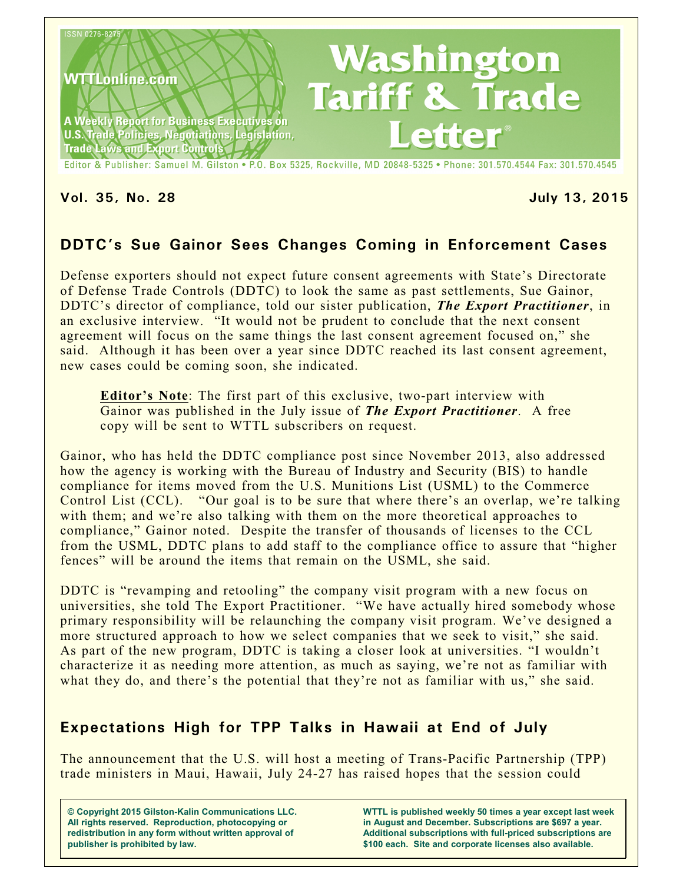

**Vol. 35, No. 28 July 13, 2015**

# **DDTC's Sue Gainor Sees Changes Coming in Enforcement Cases**

Defense exporters should not expect future consent agreements with State's Directorate of Defense Trade Controls (DDTC) to look the same as past settlements, Sue Gainor, DDTC's director of compliance, told our sister publication, *The Export Practitioner*, in an exclusive interview. "It would not be prudent to conclude that the next consent agreement will focus on the same things the last consent agreement focused on," she said. Although it has been over a year since DDTC reached its last consent agreement, new cases could be coming soon, she indicated.

**Editor's Note**: The first part of this exclusive, two-part interview with Gainor was published in the July issue of *The Export Practitioner*. A free copy will be sent to WTTL subscribers on request.

Gainor, who has held the DDTC compliance post since November 2013, also addressed how the agency is working with the Bureau of Industry and Security (BIS) to handle compliance for items moved from the U.S. Munitions List (USML) to the Commerce Control List (CCL). "Our goal is to be sure that where there's an overlap, we're talking with them; and we're also talking with them on the more theoretical approaches to compliance," Gainor noted. Despite the transfer of thousands of licenses to the CCL from the USML, DDTC plans to add staff to the compliance office to assure that "higher fences" will be around the items that remain on the USML, she said.

DDTC is "revamping and retooling" the company visit program with a new focus on universities, she told The Export Practitioner. "We have actually hired somebody whose primary responsibility will be relaunching the company visit program. We've designed a more structured approach to how we select companies that we seek to visit," she said. As part of the new program, DDTC is taking a closer look at universities. "I wouldn't characterize it as needing more attention, as much as saying, we're not as familiar with what they do, and there's the potential that they're not as familiar with us," she said.

## **Expectations High for TPP Talks in Hawaii at End of July**

The announcement that the U.S. will host a meeting of Trans-Pacific Partnership (TPP) trade ministers in Maui, Hawaii, July 24-27 has raised hopes that the session could

**© Copyright 2015 Gilston-Kalin Communications LLC. All rights reserved. Reproduction, photocopying or redistribution in any form without written approval of publisher is prohibited by law.** 

**WTTL is published weekly 50 times a year except last week in August and December. Subscriptions are \$697 a year. Additional subscriptions with full-priced subscriptions are \$100 each. Site and corporate licenses also available.**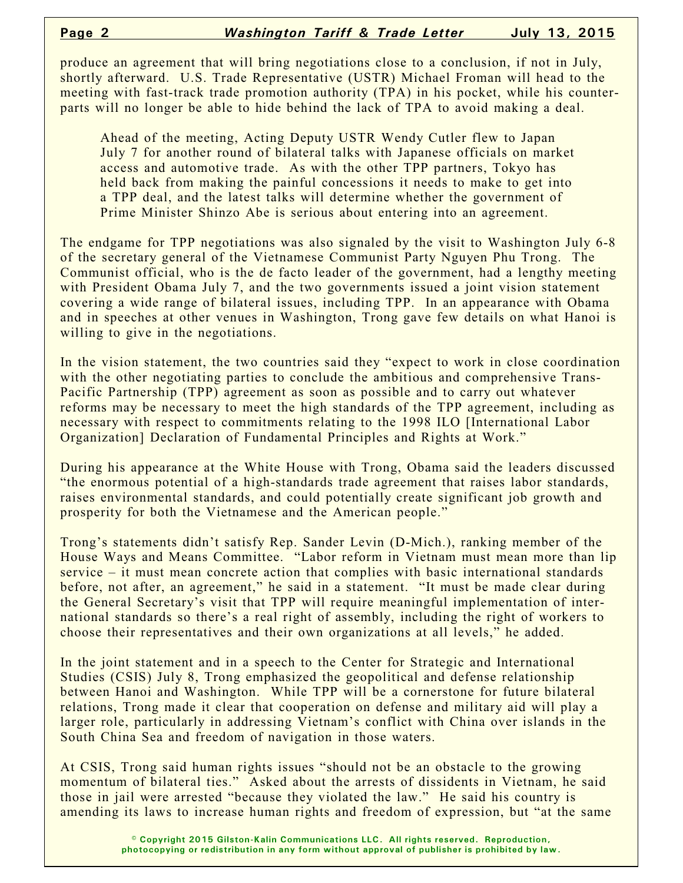produce an agreement that will bring negotiations close to a conclusion, if not in July, shortly afterward. U.S. Trade Representative (USTR) Michael Froman will head to the meeting with fast-track trade promotion authority (TPA) in his pocket, while his counterparts will no longer be able to hide behind the lack of TPA to avoid making a deal.

Ahead of the meeting, Acting Deputy USTR Wendy Cutler flew to Japan July 7 for another round of bilateral talks with Japanese officials on market access and automotive trade. As with the other TPP partners, Tokyo has held back from making the painful concessions it needs to make to get into a TPP deal, and the latest talks will determine whether the government of Prime Minister Shinzo Abe is serious about entering into an agreement.

The endgame for TPP negotiations was also signaled by the visit to Washington July 6-8 of the secretary general of the Vietnamese Communist Party Nguyen Phu Trong. The Communist official, who is the de facto leader of the government, had a lengthy meeting with President Obama July 7, and the two governments issued a joint vision statement covering a wide range of bilateral issues, including TPP. In an appearance with Obama and in speeches at other venues in Washington, Trong gave few details on what Hanoi is willing to give in the negotiations.

In the vision statement, the two countries said they "expect to work in close coordination with the other negotiating parties to conclude the ambitious and comprehensive Trans-Pacific Partnership (TPP) agreement as soon as possible and to carry out whatever reforms may be necessary to meet the high standards of the TPP agreement, including as necessary with respect to commitments relating to the 1998 ILO [International Labor Organization] Declaration of Fundamental Principles and Rights at Work."

During his appearance at the White House with Trong, Obama said the leaders discussed "the enormous potential of a high-standards trade agreement that raises labor standards, raises environmental standards, and could potentially create significant job growth and prosperity for both the Vietnamese and the American people."

Trong's statements didn't satisfy Rep. Sander Levin (D-Mich.), ranking member of the House Ways and Means Committee. "Labor reform in Vietnam must mean more than lip service – it must mean concrete action that complies with basic international standards before, not after, an agreement," he said in a statement. "It must be made clear during the General Secretary's visit that TPP will require meaningful implementation of international standards so there's a real right of assembly, including the right of workers to choose their representatives and their own organizations at all levels," he added.

In the joint statement and in a speech to the Center for Strategic and International Studies (CSIS) July 8, Trong emphasized the geopolitical and defense relationship between Hanoi and Washington. While TPP will be a cornerstone for future bilateral relations, Trong made it clear that cooperation on defense and military aid will play a larger role, particularly in addressing Vietnam's conflict with China over islands in the South China Sea and freedom of navigation in those waters.

At CSIS, Trong said human rights issues "should not be an obstacle to the growing momentum of bilateral ties." Asked about the arrests of dissidents in Vietnam, he said those in jail were arrested "because they violated the law." He said his country is amending its laws to increase human rights and freedom of expression, but "at the same

> **© Copyright 2015 Gilston-Kalin Communications LLC. All rights reserved. Reproduction, photocopying or redistribution in any form without approval of publisher is prohibited by law.**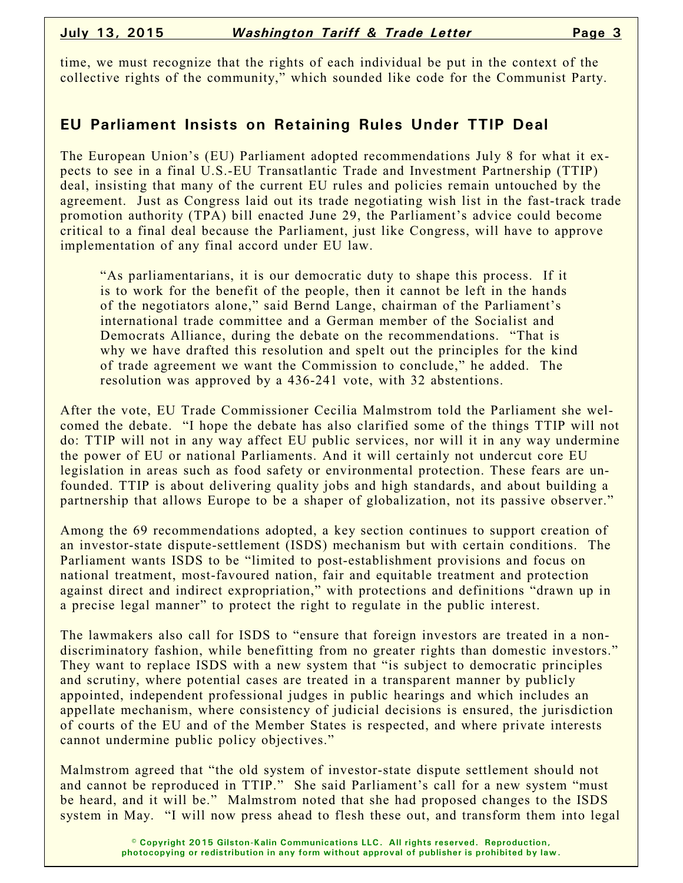time, we must recognize that the rights of each individual be put in the context of the collective rights of the community," which sounded like code for the Communist Party.

#### **EU Parliament Insists on Retaining Rules Under TTIP Deal**

The European Union's (EU) Parliament adopted recommendations July 8 for what it expects to see in a final U.S.-EU Transatlantic Trade and Investment Partnership (TTIP) deal, insisting that many of the current EU rules and policies remain untouched by the agreement. Just as Congress laid out its trade negotiating wish list in the fast-track trade promotion authority (TPA) bill enacted June 29, the Parliament's advice could become critical to a final deal because the Parliament, just like Congress, will have to approve implementation of any final accord under EU law.

"As parliamentarians, it is our democratic duty to shape this process. If it is to work for the benefit of the people, then it cannot be left in the hands of the negotiators alone," said Bernd Lange, chairman of the Parliament's international trade committee and a German member of the Socialist and Democrats Alliance, during the debate on the recommendations. "That is why we have drafted this resolution and spelt out the principles for the kind of trade agreement we want the Commission to conclude," he added. The resolution was approved by a 436-241 vote, with 32 abstentions.

After the vote, EU Trade Commissioner Cecilia Malmstrom told the Parliament she welcomed the debate. "I hope the debate has also clarified some of the things TTIP will not do: TTIP will not in any way affect EU public services, nor will it in any way undermine the power of EU or national Parliaments. And it will certainly not undercut core EU legislation in areas such as food safety or environmental protection. These fears are unfounded. TTIP is about delivering quality jobs and high standards, and about building a partnership that allows Europe to be a shaper of globalization, not its passive observer."

Among the 69 recommendations adopted, a key section continues to support creation of an investor-state dispute-settlement (ISDS) mechanism but with certain conditions. The Parliament wants ISDS to be "limited to post-establishment provisions and focus on national treatment, most-favoured nation, fair and equitable treatment and protection against direct and indirect expropriation," with protections and definitions "drawn up in a precise legal manner" to protect the right to regulate in the public interest.

The lawmakers also call for ISDS to "ensure that foreign investors are treated in a nondiscriminatory fashion, while benefitting from no greater rights than domestic investors." They want to replace ISDS with a new system that "is subject to democratic principles" and scrutiny, where potential cases are treated in a transparent manner by publicly appointed, independent professional judges in public hearings and which includes an appellate mechanism, where consistency of judicial decisions is ensured, the jurisdiction of courts of the EU and of the Member States is respected, and where private interests cannot undermine public policy objectives."

Malmstrom agreed that "the old system of investor-state dispute settlement should not and cannot be reproduced in TTIP." She said Parliament's call for a new system "must be heard, and it will be." Malmstrom noted that she had proposed changes to the ISDS system in May. "I will now press ahead to flesh these out, and transform them into legal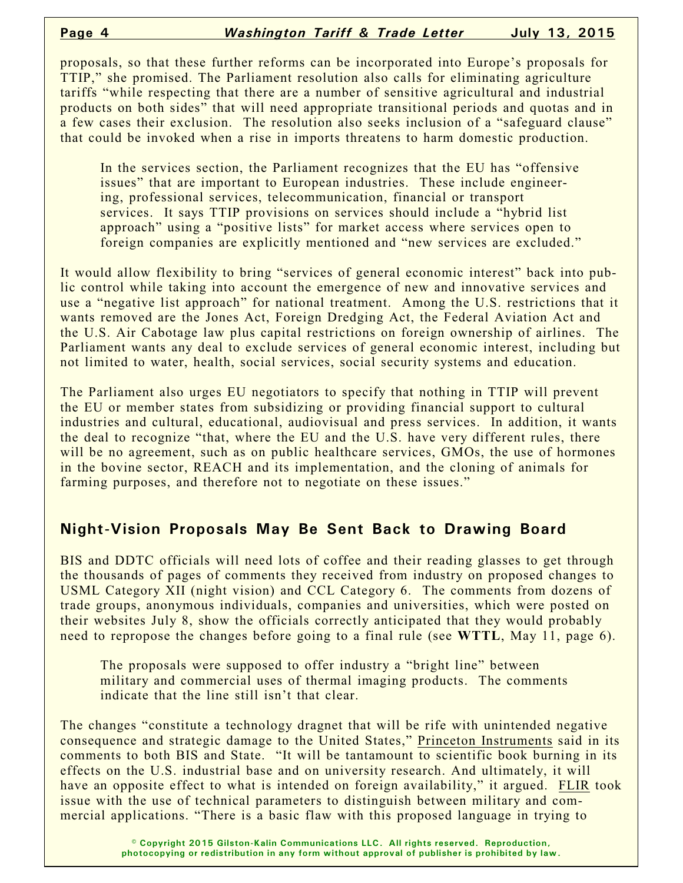proposals, so that these further reforms can be incorporated into Europe's proposals for TTIP," she promised. The Parliament resolution also calls for eliminating agriculture tariffs "while respecting that there are a number of sensitive agricultural and industrial products on both sides" that will need appropriate transitional periods and quotas and in a few cases their exclusion. The resolution also seeks inclusion of a "safeguard clause" that could be invoked when a rise in imports threatens to harm domestic production.

In the services section, the Parliament recognizes that the EU has "offensive issues" that are important to European industries. These include engineering, professional services, telecommunication, financial or transport services. It says TTIP provisions on services should include a "hybrid list approach" using a "positive lists" for market access where services open to foreign companies are explicitly mentioned and "new services are excluded."

It would allow flexibility to bring "services of general economic interest" back into public control while taking into account the emergence of new and innovative services and use a "negative list approach" for national treatment. Among the U.S. restrictions that it wants removed are the Jones Act, Foreign Dredging Act, the Federal Aviation Act and the U.S. Air Cabotage law plus capital restrictions on foreign ownership of airlines. The Parliament wants any deal to exclude services of general economic interest, including but not limited to water, health, social services, social security systems and education.

The Parliament also urges EU negotiators to specify that nothing in TTIP will prevent the EU or member states from subsidizing or providing financial support to cultural industries and cultural, educational, audiovisual and press services. In addition, it wants the deal to recognize "that, where the EU and the U.S. have very different rules, there will be no agreement, such as on public healthcare services, GMOs, the use of hormones in the bovine sector, REACH and its implementation, and the cloning of animals for farming purposes, and therefore not to negotiate on these issues."

### **Night-Vision Proposals May Be Sent Back to Drawing Board**

BIS and DDTC officials will need lots of coffee and their reading glasses to get through the thousands of pages of comments they received from industry on proposed changes to USML Category XII (night vision) and CCL Category 6. The comments from dozens of trade groups, anonymous individuals, companies and universities, which were posted on their websites July 8, show the officials correctly anticipated that they would probably need to repropose the changes before going to a final rule (see **WTTL**, May 11, page 6).

The proposals were supposed to offer industry a "bright line" between military and commercial uses of thermal imaging products. The comments indicate that the line still isn't that clear.

The changes "constitute a technology dragnet that will be rife with unintended negative consequence and strategic damage to the United States," Princeton Instruments said in its comments to both BIS and State. "It will be tantamount to scientific book burning in its effects on the U.S. industrial base and on university research. And ultimately, it will have an opposite effect to what is intended on foreign availability," it argued. FLIR took issue with the use of technical parameters to distinguish between military and commercial applications. "There is a basic flaw with this proposed language in trying to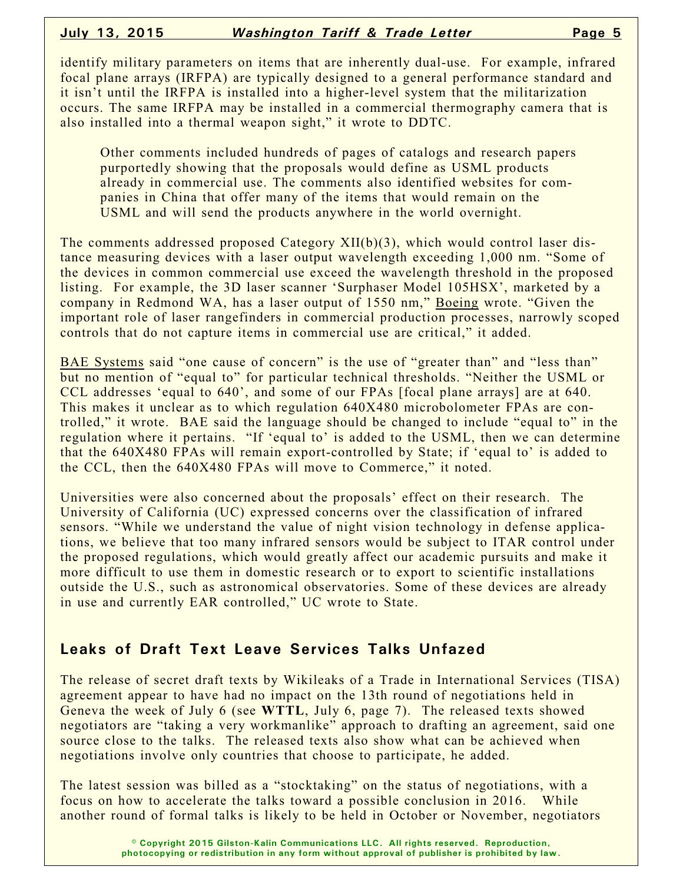identify military parameters on items that are inherently dual-use. For example, infrared focal plane arrays (IRFPA) are typically designed to a general performance standard and it isn't until the IRFPA is installed into a higher-level system that the militarization occurs. The same IRFPA may be installed in a commercial thermography camera that is also installed into a thermal weapon sight," it wrote to DDTC.

Other comments included hundreds of pages of catalogs and research papers purportedly showing that the proposals would define as USML products already in commercial use. The comments also identified websites for companies in China that offer many of the items that would remain on the USML and will send the products anywhere in the world overnight.

The comments addressed proposed Category XII(b)(3), which would control laser distance measuring devices with a laser output wavelength exceeding 1,000 nm. "Some of the devices in common commercial use exceed the wavelength threshold in the proposed listing. For example, the 3D laser scanner 'Surphaser Model 105HSX', marketed by a company in Redmond WA, has a laser output of 1550 nm," Boeing wrote. "Given the important role of laser rangefinders in commercial production processes, narrowly scoped controls that do not capture items in commercial use are critical," it added.

BAE Systems said "one cause of concern" is the use of "greater than" and "less than" but no mention of "equal to" for particular technical thresholds. "Neither the USML or CCL addresses 'equal to 640', and some of our FPAs [focal plane arrays] are at 640. This makes it unclear as to which regulation 640X480 microbolometer FPAs are controlled," it wrote. BAE said the language should be changed to include "equal to" in the regulation where it pertains. "If 'equal to' is added to the USML, then we can determine that the 640X480 FPAs will remain export-controlled by State; if 'equal to' is added to the CCL, then the 640X480 FPAs will move to Commerce," it noted.

Universities were also concerned about the proposals' effect on their research. The University of California (UC) expressed concerns over the classification of infrared sensors. "While we understand the value of night vision technology in defense applications, we believe that too many infrared sensors would be subject to ITAR control under the proposed regulations, which would greatly affect our academic pursuits and make it more difficult to use them in domestic research or to export to scientific installations outside the U.S., such as astronomical observatories. Some of these devices are already in use and currently EAR controlled," UC wrote to State.

### **Leaks of Draft Text Leave Services Talks Unfazed**

The release of secret draft texts by Wikileaks of a Trade in International Services (TISA) agreement appear to have had no impact on the 13th round of negotiations held in Geneva the week of July 6 (see **WTTL**, July 6, page 7). The released texts showed negotiators are "taking a very workmanlike" approach to drafting an agreement, said one source close to the talks. The released texts also show what can be achieved when negotiations involve only countries that choose to participate, he added.

The latest session was billed as a "stocktaking" on the status of negotiations, with a focus on how to accelerate the talks toward a possible conclusion in 2016. While another round of formal talks is likely to be held in October or November, negotiators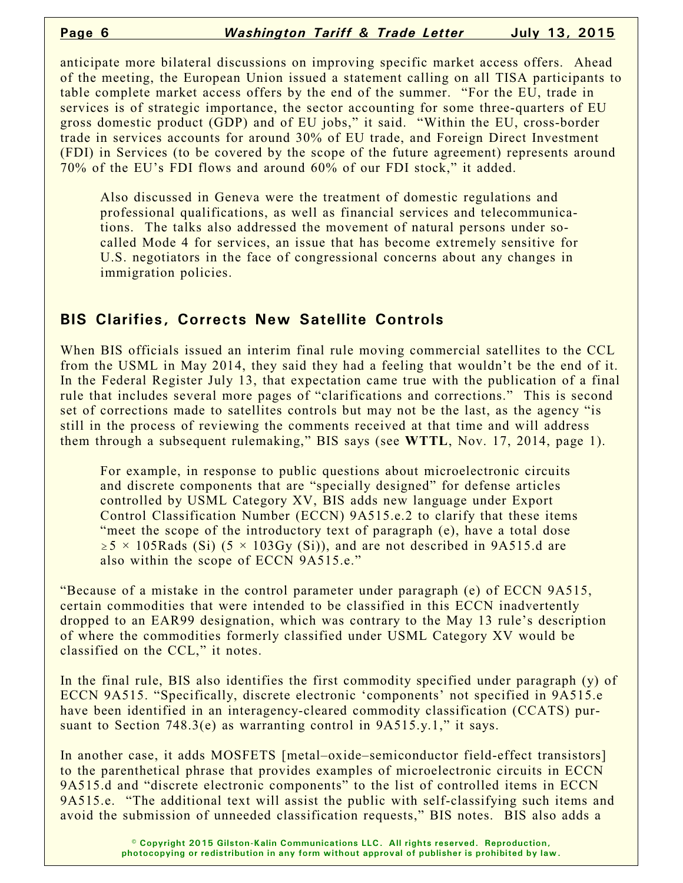anticipate more bilateral discussions on improving specific market access offers. Ahead of the meeting, the European Union issued a statement calling on all TISA participants to table complete market access offers by the end of the summer. "For the EU, trade in services is of strategic importance, the sector accounting for some three-quarters of EU gross domestic product (GDP) and of EU jobs," it said. "Within the EU, cross-border trade in services accounts for around 30% of EU trade, and Foreign Direct Investment (FDI) in Services (to be covered by the scope of the future agreement) represents around 70% of the EU's FDI flows and around 60% of our FDI stock," it added.

Also discussed in Geneva were the treatment of domestic regulations and professional qualifications, as well as financial services and telecommunications. The talks also addressed the movement of natural persons under socalled Mode 4 for services, an issue that has become extremely sensitive for U.S. negotiators in the face of congressional concerns about any changes in immigration policies.

#### **BIS Clarifies, Corrects New Satellite Controls**

When BIS officials issued an interim final rule moving commercial satellites to the CCL from the USML in May 2014, they said they had a feeling that wouldn't be the end of it. In the Federal Register July 13, that expectation came true with the publication of a final rule that includes several more pages of "clarifications and corrections." This is second set of corrections made to satellites controls but may not be the last, as the agency "is still in the process of reviewing the comments received at that time and will address them through a subsequent rulemaking," BIS says (see **WTTL**, Nov. 17, 2014, page 1).

For example, in response to public questions about microelectronic circuits and discrete components that are "specially designed" for defense articles controlled by USML Category XV, BIS adds new language under Export Control Classification Number (ECCN) 9A515.e.2 to clarify that these items "meet the scope of the introductory text of paragraph (e), have a total dose  $\ge 5 \times 105$ Rads (Si) (5  $\times$  103Gy (Si)), and are not described in 9A515.d are also within the scope of ECCN 9A515.e."

"Because of a mistake in the control parameter under paragraph (e) of ECCN 9A515, certain commodities that were intended to be classified in this ECCN inadvertently dropped to an EAR99 designation, which was contrary to the May 13 rule's description of where the commodities formerly classified under USML Category XV would be classified on the CCL," it notes.

In the final rule, BIS also identifies the first commodity specified under paragraph (y) of ECCN 9A515. "Specifically, discrete electronic 'components' not specified in 9A515.e have been identified in an interagency-cleared commodity classification (CCATS) pursuant to Section  $748.3(e)$  as warranting control in  $9A515.y.1$ ," it says.

In another case, it adds MOSFETS [metal–oxide–semiconductor field-effect transistors] to the parenthetical phrase that provides examples of microelectronic circuits in ECCN 9A515.d and "discrete electronic components" to the list of controlled items in ECCN 9A515.e. "The additional text will assist the public with self-classifying such items and avoid the submission of unneeded classification requests," BIS notes. BIS also adds a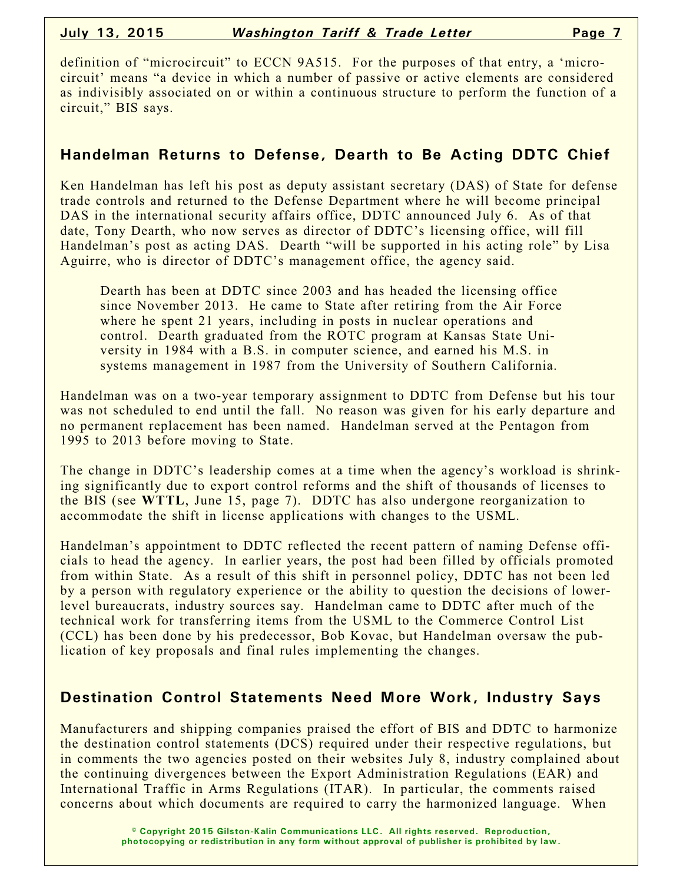definition of "microcircuit" to ECCN 9A515. For the purposes of that entry, a 'microcircuit' means "a device in which a number of passive or active elements are considered as indivisibly associated on or within a continuous structure to perform the function of a circuit," BIS says.

#### **Handelman Returns to Defense, Dearth to Be Acting DDTC Chief**

Ken Handelman has left his post as deputy assistant secretary (DAS) of State for defense trade controls and returned to the Defense Department where he will become principal DAS in the international security affairs office, DDTC announced July 6. As of that date, Tony Dearth, who now serves as director of DDTC's licensing office, will fill Handelman's post as acting DAS. Dearth "will be supported in his acting role" by Lisa Aguirre, who is director of DDTC's management office, the agency said.

Dearth has been at DDTC since 2003 and has headed the licensing office since November 2013. He came to State after retiring from the Air Force where he spent 21 years, including in posts in nuclear operations and control. Dearth graduated from the ROTC program at Kansas State University in 1984 with a B.S. in computer science, and earned his M.S. in systems management in 1987 from the University of Southern California.

Handelman was on a two-year temporary assignment to DDTC from Defense but his tour was not scheduled to end until the fall. No reason was given for his early departure and no permanent replacement has been named. Handelman served at the Pentagon from 1995 to 2013 before moving to State.

The change in DDTC's leadership comes at a time when the agency's workload is shrinking significantly due to export control reforms and the shift of thousands of licenses to the BIS (see **WTTL**, June 15, page 7). DDTC has also undergone reorganization to accommodate the shift in license applications with changes to the USML.

Handelman's appointment to DDTC reflected the recent pattern of naming Defense officials to head the agency. In earlier years, the post had been filled by officials promoted from within State. As a result of this shift in personnel policy, DDTC has not been led by a person with regulatory experience or the ability to question the decisions of lowerlevel bureaucrats, industry sources say. Handelman came to DDTC after much of the technical work for transferring items from the USML to the Commerce Control List (CCL) has been done by his predecessor, Bob Kovac, but Handelman oversaw the publication of key proposals and final rules implementing the changes.

### **Destination Control Statements Need More Work, Industry Says**

Manufacturers and shipping companies praised the effort of BIS and DDTC to harmonize the destination control statements (DCS) required under their respective regulations, but in comments the two agencies posted on their websites July 8, industry complained about the continuing divergences between the Export Administration Regulations (EAR) and International Traffic in Arms Regulations (ITAR). In particular, the comments raised concerns about which documents are required to carry the harmonized language. When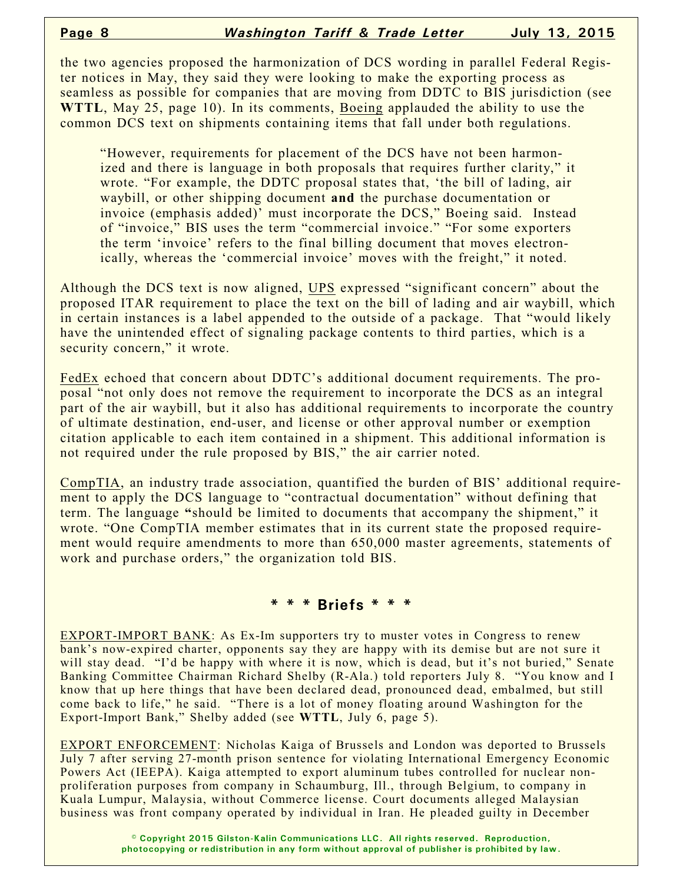the two agencies proposed the harmonization of DCS wording in parallel Federal Register notices in May, they said they were looking to make the exporting process as seamless as possible for companies that are moving from DDTC to BIS jurisdiction (see **WTTL**, May 25, page 10). In its comments, Boeing applauded the ability to use the common DCS text on shipments containing items that fall under both regulations.

"However, requirements for placement of the DCS have not been harmonized and there is language in both proposals that requires further clarity," it wrote. "For example, the DDTC proposal states that, 'the bill of lading, air waybill, or other shipping document **and** the purchase documentation or invoice (emphasis added)' must incorporate the DCS," Boeing said. Instead of "invoice," BIS uses the term "commercial invoice." "For some exporters the term 'invoice' refers to the final billing document that moves electronically, whereas the 'commercial invoice' moves with the freight," it noted.

Although the DCS text is now aligned, UPS expressed "significant concern" about the proposed ITAR requirement to place the text on the bill of lading and air waybill, which in certain instances is a label appended to the outside of a package. That "would likely have the unintended effect of signaling package contents to third parties, which is a security concern," it wrote.

FedEx echoed that concern about DDTC's additional document requirements. The proposal "not only does not remove the requirement to incorporate the DCS as an integral part of the air waybill, but it also has additional requirements to incorporate the country of ultimate destination, end-user, and license or other approval number or exemption citation applicable to each item contained in a shipment. This additional information is not required under the rule proposed by BIS," the air carrier noted.

CompTIA, an industry trade association, quantified the burden of BIS' additional requirement to apply the DCS language to "contractual documentation" without defining that term. The language **"**should be limited to documents that accompany the shipment," it wrote. "One CompTIA member estimates that in its current state the proposed requirement would require amendments to more than 650,000 master agreements, statements of work and purchase orders," the organization told BIS.

#### **\* \* \* Briefs \* \* \***

EXPORT-IMPORT BANK: As Ex-Im supporters try to muster votes in Congress to renew bank's now-expired charter, opponents say they are happy with its demise but are not sure it will stay dead. "I'd be happy with where it is now, which is dead, but it's not buried," Senate Banking Committee Chairman Richard Shelby (R-Ala.) told reporters July 8. "You know and I know that up here things that have been declared dead, pronounced dead, embalmed, but still come back to life," he said. "There is a lot of money floating around Washington for the Export-Import Bank," Shelby added (see **WTTL**, July 6, page 5).

EXPORT ENFORCEMENT: Nicholas Kaiga of Brussels and London was deported to Brussels July 7 after serving 27-month prison sentence for violating International Emergency Economic Powers Act (IEEPA). Kaiga attempted to export aluminum tubes controlled for nuclear nonproliferation purposes from company in Schaumburg, Ill., through Belgium, to company in Kuala Lumpur, Malaysia, without Commerce license. Court documents alleged Malaysian business was front company operated by individual in Iran. He pleaded guilty in December

> **© Copyright 2015 Gilston-Kalin Communications LLC. All rights reserved. Reproduction, photocopying or redistribution in any form without approval of publisher is prohibited by law.**